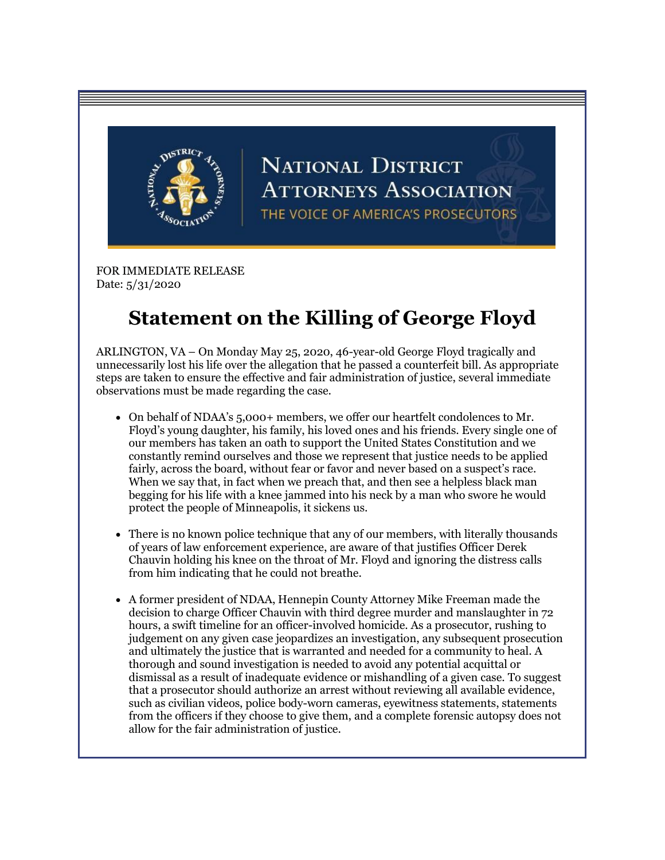

## **NATIONAL DISTRICT ATTORNEYS ASSOCIATION** THE VOICE OF AMERICA'S PROSECUTORS

FOR IMMEDIATE RELEASE Date: 5/31/2020

## **Statement on the Killing of George Floyd**

ARLINGTON, VA – On Monday May 25, 2020, 46-year-old George Floyd tragically and unnecessarily lost his life over the allegation that he passed a counterfeit bill. As appropriate steps are taken to ensure the effective and fair administration of justice, several immediate observations must be made regarding the case.

- On behalf of NDAA's 5,000+ members, we offer our heartfelt condolences to Mr. Floyd's young daughter, his family, his loved ones and his friends. Every single one of our members has taken an oath to support the United States Constitution and we constantly remind ourselves and those we represent that justice needs to be applied fairly, across the board, without fear or favor and never based on a suspect's race. When we say that, in fact when we preach that, and then see a helpless black man begging for his life with a knee jammed into his neck by a man who swore he would protect the people of Minneapolis, it sickens us.
- There is no known police technique that any of our members, with literally thousands of years of law enforcement experience, are aware of that justifies Officer Derek Chauvin holding his knee on the throat of Mr. Floyd and ignoring the distress calls from him indicating that he could not breathe.
- A former president of NDAA, Hennepin County Attorney Mike Freeman made the decision to charge Officer Chauvin with third degree murder and manslaughter in 72 hours, a swift timeline for an officer-involved homicide. As a prosecutor, rushing to judgement on any given case jeopardizes an investigation, any subsequent prosecution and ultimately the justice that is warranted and needed for a community to heal. A thorough and sound investigation is needed to avoid any potential acquittal or dismissal as a result of inadequate evidence or mishandling of a given case. To suggest that a prosecutor should authorize an arrest without reviewing all available evidence, such as civilian videos, police body-worn cameras, eyewitness statements, statements from the officers if they choose to give them, and a complete forensic autopsy does not allow for the fair administration of justice.